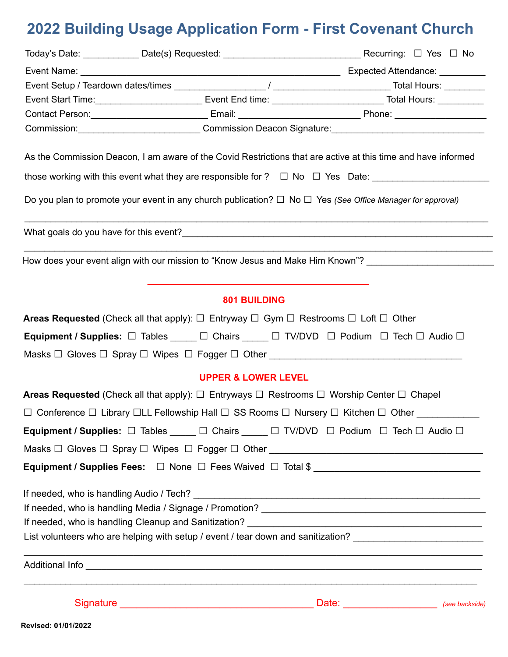# **2022 Building Usage Application Form - First Covenant Church**

|                                                                                                                       | Contact Person: _________________________________Email: __________________________________Phone: ___________________                                                                                                                 |  |  |
|-----------------------------------------------------------------------------------------------------------------------|--------------------------------------------------------------------------------------------------------------------------------------------------------------------------------------------------------------------------------------|--|--|
| Commission: Commission Deacon Signature: Commission Deacon Signature:                                                 |                                                                                                                                                                                                                                      |  |  |
|                                                                                                                       | As the Commission Deacon, I am aware of the Covid Restrictions that are active at this time and have informed                                                                                                                        |  |  |
|                                                                                                                       | those working with this event what they are responsible for ? $\Box$ No $\Box$ Yes Date:                                                                                                                                             |  |  |
| Do you plan to promote your event in any church publication? $\Box$ No $\Box$ Yes (See Office Manager for approval)   |                                                                                                                                                                                                                                      |  |  |
|                                                                                                                       |                                                                                                                                                                                                                                      |  |  |
|                                                                                                                       | How does your event align with our mission to "Know Jesus and Make Him Known"? [100] How does your event align                                                                                                                       |  |  |
|                                                                                                                       | <b>801 BUILDING</b>                                                                                                                                                                                                                  |  |  |
| <b>Areas Requested</b> (Check all that apply): $\Box$ Entryway $\Box$ Gym $\Box$ Restrooms $\Box$ Loft $\Box$ Other   |                                                                                                                                                                                                                                      |  |  |
|                                                                                                                       | Equipment / Supplies: □ Tables ____ □ Chairs ____ □ TV/DVD □ Podium □ Tech □ Audio □                                                                                                                                                 |  |  |
|                                                                                                                       | Masks □ Gloves □ Spray □ Wipes □ Fogger □ Other ________________________________                                                                                                                                                     |  |  |
|                                                                                                                       | <b>UPPER &amp; LOWER LEVEL</b>                                                                                                                                                                                                       |  |  |
| <b>Areas Requested</b> (Check all that apply): $\Box$ Entryways $\Box$ Restrooms $\Box$ Worship Center $\Box$ Chapel  |                                                                                                                                                                                                                                      |  |  |
| $\Box$ Conference $\Box$ Library $\Box$ LL Fellowship Hall $\Box$ SS Rooms $\Box$ Nursery $\Box$ Kitchen $\Box$ Other |                                                                                                                                                                                                                                      |  |  |
| Equipment / Supplies: □ Tables ____ □ Chairs ____ □ TV/DVD □ Podium □ Tech □ Audio □                                  |                                                                                                                                                                                                                                      |  |  |
|                                                                                                                       | Masks □ Gloves □ Spray □ Wipes □ Fogger □ Other ________________________________                                                                                                                                                     |  |  |
|                                                                                                                       | Equipment / Supplies Fees: □ None □ Fees Waived □ Total \$ _______________________                                                                                                                                                   |  |  |
|                                                                                                                       |                                                                                                                                                                                                                                      |  |  |
|                                                                                                                       |                                                                                                                                                                                                                                      |  |  |
|                                                                                                                       |                                                                                                                                                                                                                                      |  |  |
|                                                                                                                       | List volunteers who are helping with setup / event / tear down and sanitization? _________________________                                                                                                                           |  |  |
|                                                                                                                       |                                                                                                                                                                                                                                      |  |  |
|                                                                                                                       | Signature <u>example and the set of the set of the set of the set of the set of the set of the set of the set of the set of the set of the set of the set of the set of the set of the set of the set of the set of the set of t</u> |  |  |
| Revised: 01/01/2022                                                                                                   |                                                                                                                                                                                                                                      |  |  |